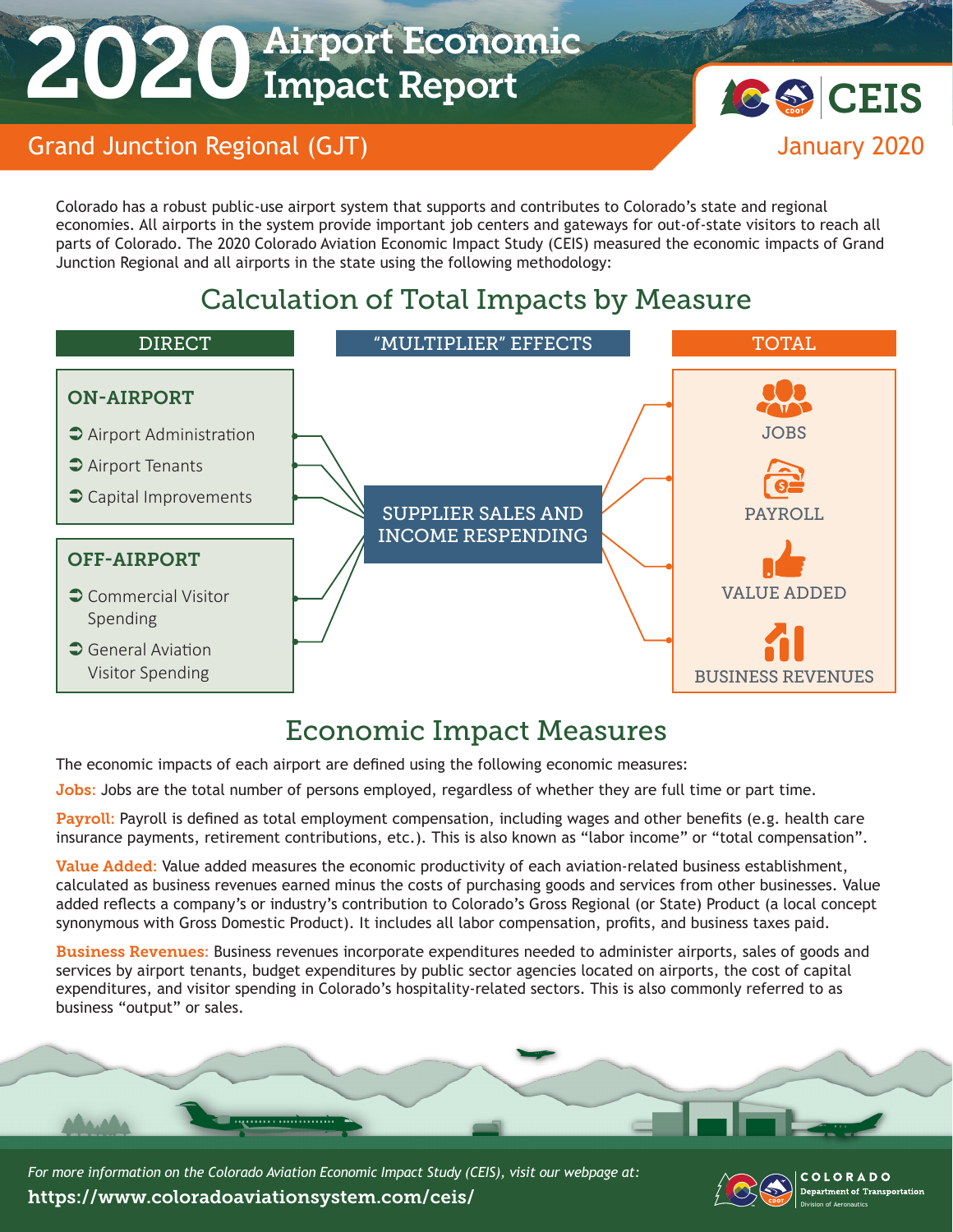# 2020 Airport Economic Impact Report



#### Grand Junction Regional (GJT) and the contract of the state of the state of the state of the state of the state of the state of the state of the state of the state of the state of the state of the state of the state of the

Colorado has a robust public-use airport system that supports and contributes to Colorado's state and regional economies. All airports in the system provide important job centers and gateways for out-of-state visitors to reach all parts of Colorado. The 2020 Colorado Aviation Economic Impact Study (CEIS) measured the economic impacts of Grand Junction Regional and all airports in the state using the following methodology:

# Calculation of Total Impacts by Measure



# Economic Impact Measures

The economic impacts of each airport are defined using the following economic measures:

Jobs: Jobs are the total number of persons employed, regardless of whether they are full time or part time.

Payroll: Payroll is defined as total employment compensation, including wages and other benefits (e.g. health care insurance payments, retirement contributions, etc.). This is also known as "labor income" or "total compensation".

Value Added: Value added measures the economic productivity of each aviation-related business establishment, calculated as business revenues earned minus the costs of purchasing goods and services from other businesses. Value added reflects a company's or industry's contribution to Colorado's Gross Regional (or State) Product (a local concept synonymous with Gross Domestic Product). It includes all labor compensation, profits, and business taxes paid.

Business Revenues: Business revenues incorporate expenditures needed to administer airports, sales of goods and services by airport tenants, budget expenditures by public sector agencies located on airports, the cost of capital expenditures, and visitor spending in Colorado's hospitality-related sectors. This is also commonly referred to as business "output" or sales.



*For more information on the Colorado Aviation Economic Impact Study (CEIS), visit our webpage at:*  https://www.coloradoaviationsystem.com/ceis/